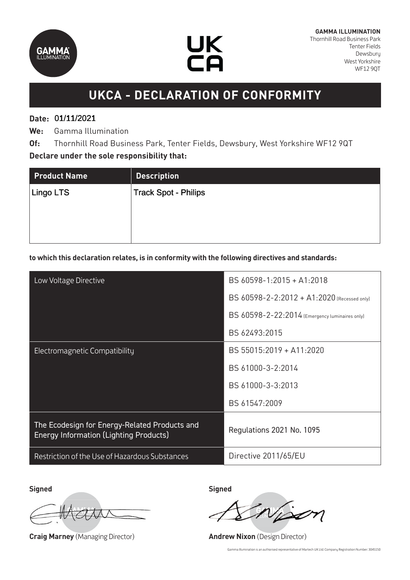



## **UKCA - DECLARATION OF CONFORMITY**

## **Date:**  01/11/2021 01/11/2021

**We:** Gamma Illumination

**Of:** Thornhill Road Business Park, Tenter Fields, Dewsbury, West Yorkshire WF12 9QT **Declare under the sole responsibility that:**

| <b>Product Name</b> | <b>Description</b>          |
|---------------------|-----------------------------|
| <b>Lingo LTS</b>    | <b>Track Spot - Philips</b> |
|                     |                             |
|                     |                             |

#### **to which this declaration relates, is in conformity with the following directives and standards:**

| Low Voltage Directive                                                                          | BS 60598-1:2015 + A1:2018                      |
|------------------------------------------------------------------------------------------------|------------------------------------------------|
|                                                                                                | BS 60598-2-2:2012 + A1:2020 (Recessed only)    |
|                                                                                                | BS 60598-2-22:2014 (Emergency luminaires only) |
|                                                                                                | BS 62493:2015                                  |
| <b>Electromagnetic Compatibility</b>                                                           | BS 55015:2019 + A11:2020                       |
|                                                                                                | BS 61000-3-2:2014                              |
|                                                                                                | BS 61000-3-3:2013                              |
|                                                                                                | BS 61547:2009                                  |
| The Ecodesign for Energy-Related Products and<br><b>Energy Information (Lighting Products)</b> | Regulations 2021 No. 1095                      |
| Restriction of the Use of Hazardous Substances                                                 | Directive 2011/65/EU                           |

**Signed Signed**

**Craig Marney** (Managing Director) **Andrew Nixon** (Design Director)

Gamma Illumination is an authorised representative of Martech UK Ltd: Company Registration Number: 3045150